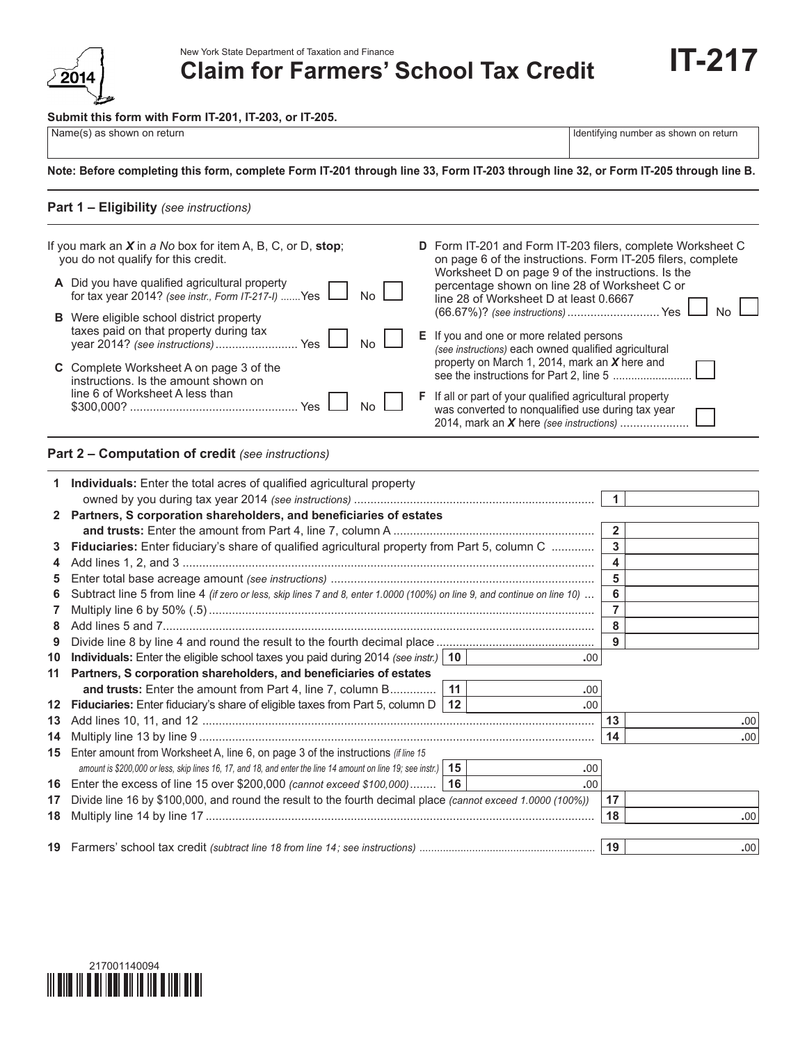

New York State Department of Taxation and Finance

**Claim for Farmers' School Tax Credit**

#### **Submit this form with Form IT-201, IT-203, or IT-205.**

| Name(s) as shown on return |  |
|----------------------------|--|

Identifying number as shown on return

**IT-217**

## **Note: Before completing this form, complete Form IT-201 through line 33, Form IT-203 through line 32, or Form IT-205 through line B.**

# **Part 1 – Eligibility** *(see instructions)*

| If you mark an $X$ in a No box for item A, B, C, or D, stop;<br>you do not qualify for this credit.                               |                | D Form IT-201 and Form IT-203 filers, complete Worksheet C<br>on page 6 of the instructions. Form IT-205 filers, complete                                       |  |
|-----------------------------------------------------------------------------------------------------------------------------------|----------------|-----------------------------------------------------------------------------------------------------------------------------------------------------------------|--|
| A Did you have qualified agricultural property<br>for tax year 2014? (see instr., Form IT-217-I) Yes I                            | No.            | Worksheet D on page 9 of the instructions. Is the<br>percentage shown on line 28 of Worksheet C or<br>line 28 of Worksheet D at least 0.6667                    |  |
| <b>B</b> Were eligible school district property<br>taxes paid on that property during tax<br>Yes<br>year 2014? (see instructions) | N <sub>0</sub> | (66.67%)? (see instructions)  Yes<br>E If you and one or more related persons<br>(see instructions) each owned qualified agricultural                           |  |
| C Complete Worksheet A on page 3 of the<br>instructions. Is the amount shown on                                                   |                | property on March 1, 2014, mark an X here and                                                                                                                   |  |
| line 6 of Worksheet A less than<br><b>Yes</b>                                                                                     | N <sub>0</sub> | <b>F</b> If all or part of your qualified agricultural property<br>was converted to nonqualified use during tax year<br>2014, mark an X here (see instructions) |  |

### **Part 2 – Computation of credit** *(see instructions)*

|    | <b>Individuals:</b> Enter the total acres of qualified agricultural property                                              |    |     |                |     |
|----|---------------------------------------------------------------------------------------------------------------------------|----|-----|----------------|-----|
|    |                                                                                                                           |    |     | $\overline{1}$ |     |
|    | 2 Partners, S corporation shareholders, and beneficiaries of estates                                                      |    |     |                |     |
|    |                                                                                                                           |    |     | $\overline{2}$ |     |
| 3  | Fiduciaries: Enter fiduciary's share of qualified agricultural property from Part 5, column C                             |    |     | 3              |     |
|    |                                                                                                                           |    |     | 4              |     |
| 5. |                                                                                                                           |    |     | 5              |     |
| 6  | Subtract line 5 from line 4 (if zero or less, skip lines 7 and 8, enter 1.0000 (100%) on line 9, and continue on line 10) |    |     | 6              |     |
| 7  |                                                                                                                           |    |     | 7              |     |
| 8  |                                                                                                                           |    |     | 8              |     |
| 9  |                                                                                                                           |    |     | 9              |     |
| 10 | Individuals: Enter the eligible school taxes you paid during 2014 (see instr.)   10                                       |    | .00 |                |     |
| 11 | Partners, S corporation shareholders, and beneficiaries of estates                                                        |    |     |                |     |
|    | and trusts: Enter the amount from Part 4, line 7, column B                                                                | 11 | .00 |                |     |
|    | 12 Fiduciaries: Enter fiduciary's share of eligible taxes from Part 5, column $D \mid 12$                                 |    | .00 |                |     |
| 13 |                                                                                                                           |    |     | 13             | .00 |
| 14 |                                                                                                                           |    |     | 14             | .00 |
|    | 15 Enter amount from Worksheet A, line 6, on page 3 of the instructions (if line 15                                       |    |     |                |     |
|    | amount is \$200,000 or less, skip lines 16, 17, and 18, and enter the line 14 amount on line 19; see instr.)   15         |    | .00 |                |     |
|    | 16 Enter the excess of line 15 over \$200,000 (cannot exceed \$100,000)   16                                              |    | .00 |                |     |
| 17 | Divide line 16 by \$100,000, and round the result to the fourth decimal place (cannot exceed 1.0000 (100%))               |    |     | 17             |     |
| 18 |                                                                                                                           |    |     | 18             | .00 |
|    |                                                                                                                           |    |     |                |     |
|    |                                                                                                                           |    |     | 19             | .00 |